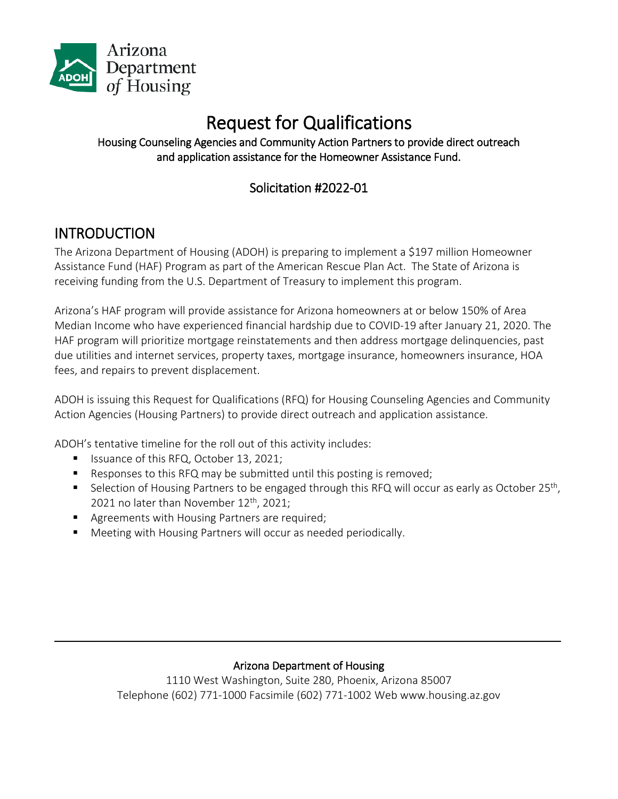

# Request for Qualifications<br>Housing Counseling Agencies and Community Action Partners to provide direct outreach and application assistance for the Homeowner Assistance Fund.

# Solicitation #2022-01

# **INTRODUCTION**

The Arizona Department of Housing (ADOH) is preparing to implement a \$197 million Homeowner Assistance Fund (HAF) Program as part of the American Rescue Plan Act. The State of Arizona is receiving funding from the U.S. Department of Treasury to implement this program.

Arizona's HAF program will provide assistance for Arizona homeowners at or below 150% of Area Median Income who have experienced financial hardship due to COVID-19 after January 21, 2020. The HAF program will prioritize mortgage reinstatements and then address mortgage delinquencies, past due utilities and internet services, property taxes, mortgage insurance, homeowners insurance, HOA fees, and repairs to prevent displacement.

ADOH is issuing this Request for Qualifications (RFQ) for Housing Counseling Agencies and Community Action Agencies (Housing Partners) to provide direct outreach and application assistance.

ADOH's tentative timeline for the roll out of this activity includes:

- Issuance of this RFQ, October 13, 2021;
- Responses to this RFQ may be submitted until this posting is removed;
- Selection of Housing Partners to be engaged through this RFQ will occur as early as October 25<sup>th</sup>, 2021 no later than November  $12<sup>th</sup>$ , 2021;
- Agreements with Housing Partners are required;
- Meeting with Housing Partners will occur as needed periodically.

#### Arizona Department of Housing

 $\mathcal{L}_\mathcal{L} = \mathcal{L}_\mathcal{L} = \mathcal{L}_\mathcal{L} = \mathcal{L}_\mathcal{L} = \mathcal{L}_\mathcal{L} = \mathcal{L}_\mathcal{L} = \mathcal{L}_\mathcal{L} = \mathcal{L}_\mathcal{L} = \mathcal{L}_\mathcal{L} = \mathcal{L}_\mathcal{L} = \mathcal{L}_\mathcal{L} = \mathcal{L}_\mathcal{L} = \mathcal{L}_\mathcal{L} = \mathcal{L}_\mathcal{L} = \mathcal{L}_\mathcal{L} = \mathcal{L}_\mathcal{L} = \mathcal{L}_\mathcal{L}$ 

1110 West Washington, Suite 280, Phoenix, Arizona 85007 Telephone (602) 771-1000 Facsimile (602) 771-1002 Web www.housing.az.gov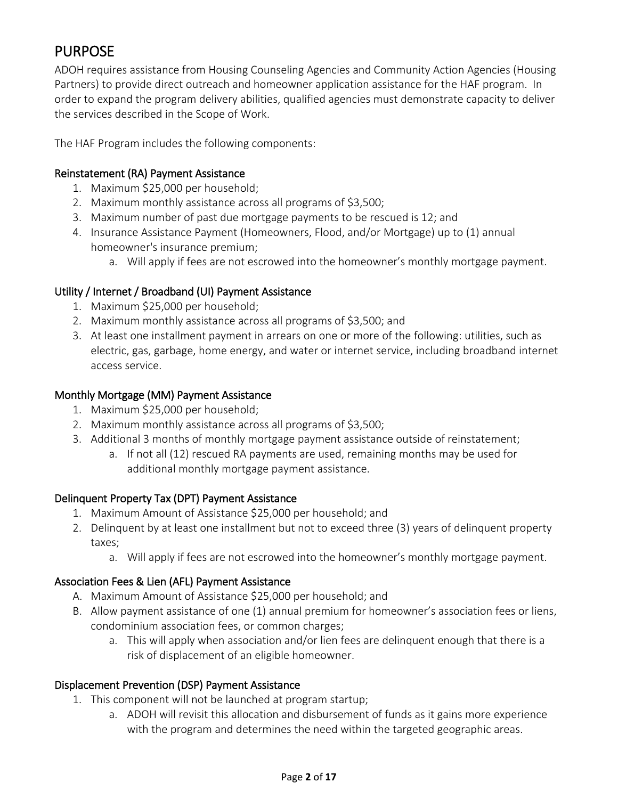# PURPOSE

ADOH requires assistance from Housing Counseling Agencies and Community Action Agencies (Housing Partners) to provide direct outreach and homeowner application assistance for the HAF program. In order to expand the program delivery abilities, qualified agencies must demonstrate capacity to deliver the services described in the Scope of Work.

The HAF Program includes the following components:

#### Reinstatement (RA) Payment Assistance

- 1. Maximum \$25,000 per household;
- 2. Maximum monthly assistance across all programs of \$3,500;
- 3. Maximum number of past due mortgage payments to be rescued is 12; and
- 4. Insurance Assistance Payment (Homeowners, Flood, and/or Mortgage) up to (1) annual homeowner's insurance premium;
	- a. Will apply if fees are not escrowed into the homeowner's monthly mortgage payment.

#### Utility / Internet / Broadband (UI) Payment Assistance

- 1. Maximum \$25,000 per household;
- 2. Maximum monthly assistance across all programs of \$3,500; and
- 3. At least one installment payment in arrears on one or more of the following: utilities, such as electric, gas, garbage, home energy, and water or internet service, including broadband internet access service.

#### Monthly Mortgage (MM) Payment Assistance

- 1. Maximum \$25,000 per household;
- 2. Maximum monthly assistance across all programs of \$3,500;
- 3. Additional 3 months of monthly mortgage payment assistance outside of reinstatement;
	- a. If not all (12) rescued RA payments are used, remaining months may be used for additional monthly mortgage payment assistance.

#### Delinquent Property Tax (DPT) Payment Assistance

- 1. Maximum Amount of Assistance \$25,000 per household; and
- 2. Delinquent by at least one installment but not to exceed three (3) years of delinquent property taxes;
	- a. Will apply if fees are not escrowed into the homeowner's monthly mortgage payment.

#### Association Fees & Lien (AFL) Payment Assistance

- A. Maximum Amount of Assistance \$25,000 per household; and
- B. Allow payment assistance of one (1) annual premium for homeowner's association fees or liens, condominium association fees, or common charges;
	- a. This will apply when association and/or lien fees are delinquent enough that there is a risk of displacement of an eligible homeowner.

#### Displacement Prevention (DSP) Payment Assistance

- 1. This component will not be launched at program startup;
	- a. ADOH will revisit this allocation and disbursement of funds as it gains more experience with the program and determines the need within the targeted geographic areas.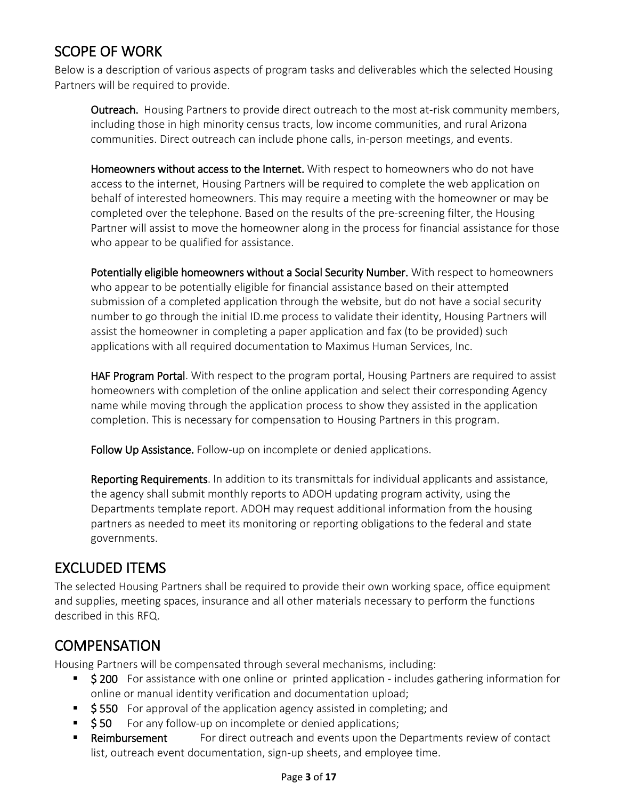# SCOPE OF WORK

Below is a description of various aspects of program tasks and deliverables which the selected Housing Partners will be required to provide.

**Outreach.** Housing Partners to provide direct outreach to the most at-risk community members, including those in high minority census tracts, low income communities, and rural Arizona communities. Direct outreach can include phone calls, in-person meetings, and events.

Homeowners without access to the Internet. With respect to homeowners who do not have access to the internet, Housing Partners will be required to complete the web application on behalf of interested homeowners. This may require a meeting with the homeowner or may be completed over the telephone. Based on the results of the pre-screening filter, the Housing Partner will assist to move the homeowner along in the process for financial assistance for those who appear to be qualified for assistance.

Potentially eligible homeowners without a Social Security Number. With respect to homeowners who appear to be potentially eligible for financial assistance based on their attempted submission of a completed application through the website, but do not have a social security number to go through the initial ID.me process to validate their identity, Housing Partners will assist the homeowner in completing a paper application and fax (to be provided) such applications with all required documentation to Maximus Human Services, Inc.

**HAF Program Portal**. With respect to the program portal, Housing Partners are required to assist homeowners with completion of the online application and select their corresponding Agency name while moving through the application process to show they assisted in the application completion. This is necessary for compensation to Housing Partners in this program.

Follow Up Assistance. Follow-up on incomplete or denied applications.

Reporting Requirements. In addition to its transmittals for individual applicants and assistance, the agency shall submit monthly reports to ADOH updating program activity, using the Departments template report. ADOH may request additional information from the housing partners as needed to meet its monitoring or reporting obligations to the federal and state governments.

# EXCLUDED ITEMS

The selected Housing Partners shall be required to provide their own working space, office equipment and supplies, meeting spaces, insurance and all other materials necessary to perform the functions described in this RFQ.

# **COMPENSATION**

Housing Partners will be compensated through several mechanisms, including:

- **5 200** For assistance with one online or printed application includes gathering information for online or manual identity verification and documentation upload;
- $\overline{\phantom{a}}$  \$550 For approval of the application agency assisted in completing; and
- $\bullet$  \$50 For any follow-up on incomplete or denied applications;
- Reimbursement For direct outreach and events upon the Departments review of contact list, outreach event documentation, sign-up sheets, and employee time.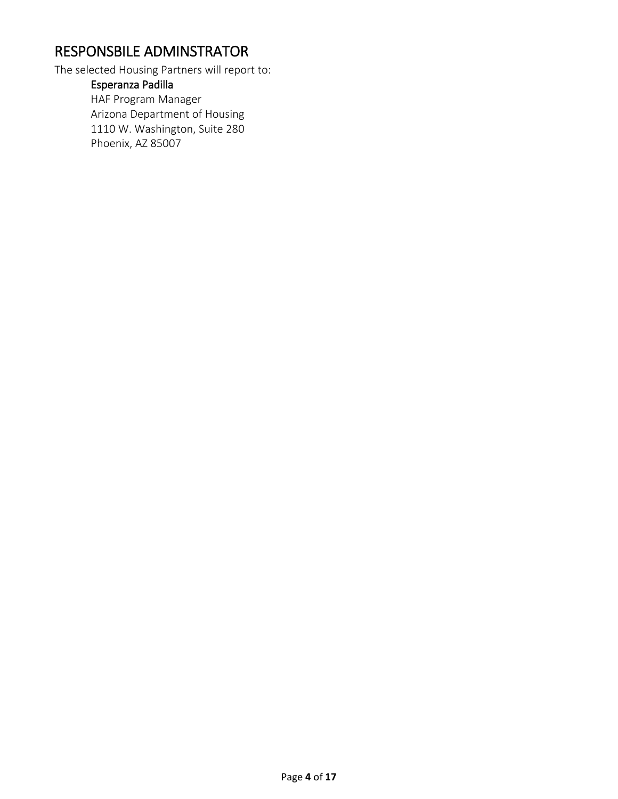# RESPONSBILE ADMINSTRATOR

The selected Housing Partners will report to:

Esperanza Padilla HAF Program Manager Arizona Department of Housing 1110 W. Washington, Suite 280 Phoenix, AZ 85007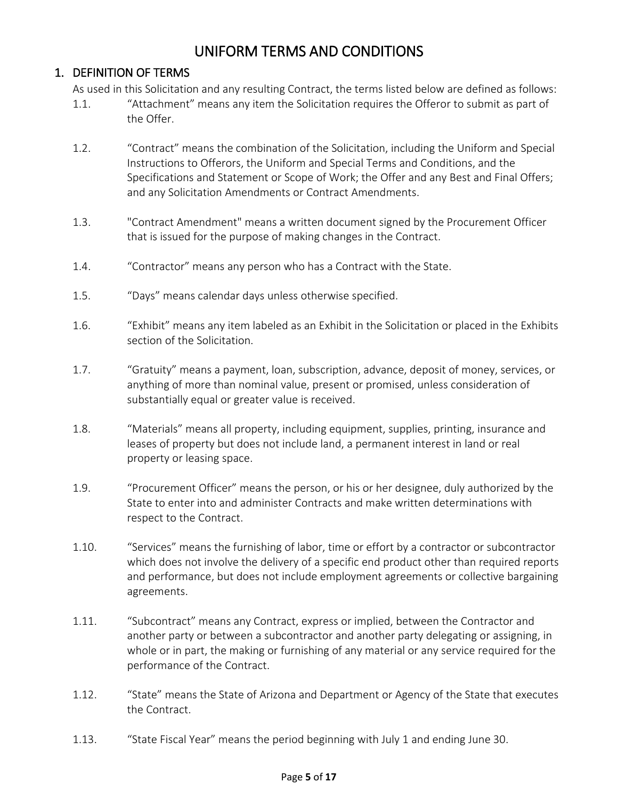# UNIFORM TERMS AND CONDITIONS

#### 1. DEFINITION OF TERMS

As used in this Solicitation and any resulting Contract, the terms listed below are defined as follows:

- 1.1. "Attachment" means any item the Solicitation requires the Offeror to submit as part of the Offer.
- 1.2. "Contract" means the combination of the Solicitation, including the Uniform and Special Instructions to Offerors, the Uniform and Special Terms and Conditions, and the Specifications and Statement or Scope of Work; the Offer and any Best and Final Offers; and any Solicitation Amendments or Contract Amendments.
- 1.3. "Contract Amendment" means a written document signed by the Procurement Officer that is issued for the purpose of making changes in the Contract.
- 1.4. "Contractor" means any person who has a Contract with the State.
- 1.5. "Days" means calendar days unless otherwise specified.
- 1.6. "Exhibit" means any item labeled as an Exhibit in the Solicitation or placed in the Exhibits section of the Solicitation.
- 1.7. "Gratuity" means a payment, loan, subscription, advance, deposit of money, services, or anything of more than nominal value, present or promised, unless consideration of substantially equal or greater value is received.
- 1.8. "Materials" means all property, including equipment, supplies, printing, insurance and leases of property but does not include land, a permanent interest in land or real property or leasing space.
- 1.9. "Procurement Officer" means the person, or his or her designee, duly authorized by the State to enter into and administer Contracts and make written determinations with respect to the Contract.
- 1.10. "Services" means the furnishing of labor, time or effort by a contractor or subcontractor which does not involve the delivery of a specific end product other than required reports and performance, but does not include employment agreements or collective bargaining agreements.
- 1.11. "Subcontract" means any Contract, express or implied, between the Contractor and another party or between a subcontractor and another party delegating or assigning, in whole or in part, the making or furnishing of any material or any service required for the performance of the Contract.
- 1.12. "State" means the State of Arizona and Department or Agency of the State that executes the Contract.
- 1.13. "State Fiscal Year" means the period beginning with July 1 and ending June 30.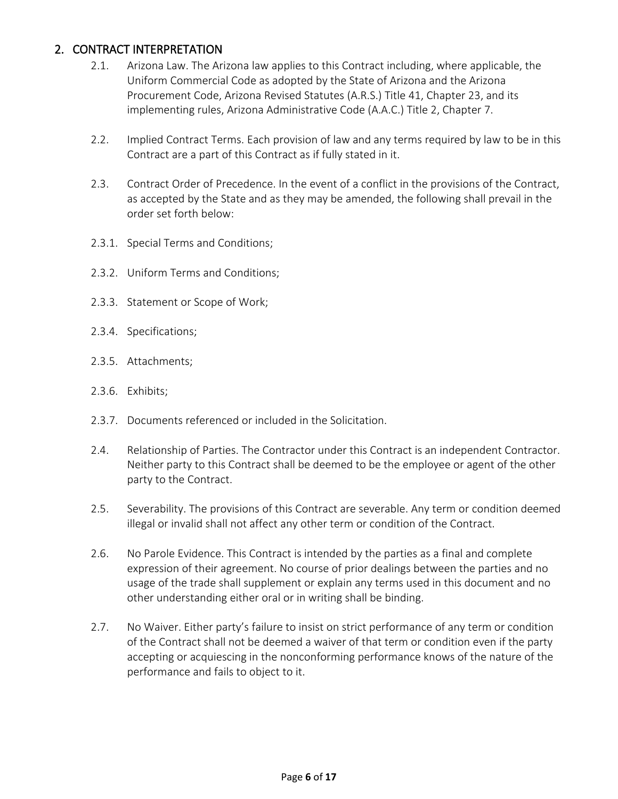#### 2. CONTRACT INTERPRETATION

- 2.1. Arizona Law. The Arizona law applies to this Contract including, where applicable, the Uniform Commercial Code as adopted by the State of Arizona and the Arizona Procurement Code, Arizona Revised Statutes (A.R.S.) Title 41, Chapter 23, and its implementing rules, Arizona Administrative Code (A.A.C.) Title 2, Chapter 7.
- 2.2. Implied Contract Terms. Each provision of law and any terms required by law to be in this Contract are a part of this Contract as if fully stated in it.
- 2.3. Contract Order of Precedence. In the event of a conflict in the provisions of the Contract, as accepted by the State and as they may be amended, the following shall prevail in the order set forth below:
- 2.3.1. Special Terms and Conditions;
- 2.3.2. Uniform Terms and Conditions;
- 2.3.3. Statement or Scope of Work;
- 2.3.4. Specifications;
- 2.3.5. Attachments;
- 2.3.6. Exhibits;
- 2.3.7. Documents referenced or included in the Solicitation.
- 2.4. Relationship of Parties. The Contractor under this Contract is an independent Contractor. Neither party to this Contract shall be deemed to be the employee or agent of the other party to the Contract.
- 2.5. Severability. The provisions of this Contract are severable. Any term or condition deemed illegal or invalid shall not affect any other term or condition of the Contract.
- 2.6. No Parole Evidence. This Contract is intended by the parties as a final and complete expression of their agreement. No course of prior dealings between the parties and no usage of the trade shall supplement or explain any terms used in this document and no other understanding either oral or in writing shall be binding.
- 2.7. No Waiver. Either party's failure to insist on strict performance of any term or condition of the Contract shall not be deemed a waiver of that term or condition even if the party accepting or acquiescing in the nonconforming performance knows of the nature of the performance and fails to object to it.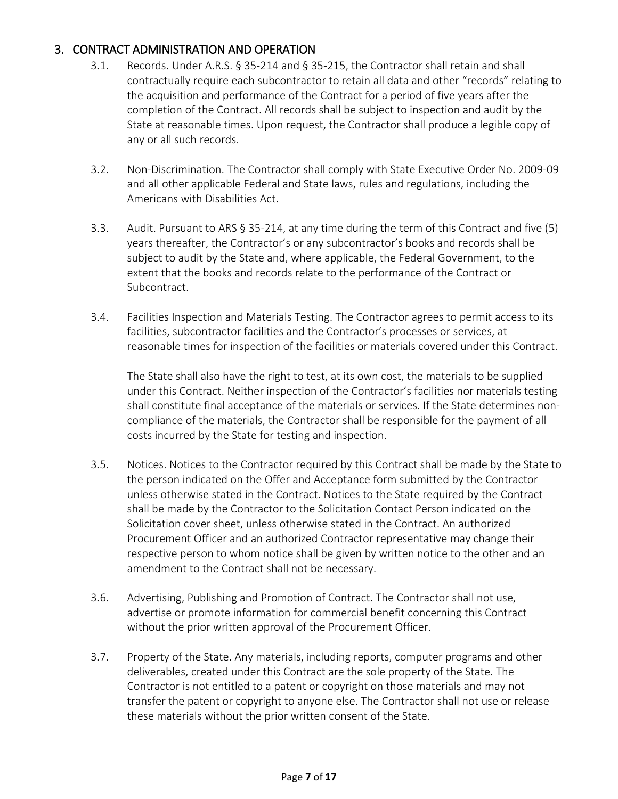#### 3. CONTRACT ADMINISTRATION AND OPERATION

- 3.1. Records. Under A.R.S. § 35-214 and § 35-215, the Contractor shall retain and shall contractually require each subcontractor to retain all data and other "records" relating to the acquisition and performance of the Contract for a period of five years after the completion of the Contract. All records shall be subject to inspection and audit by the State at reasonable times. Upon request, the Contractor shall produce a legible copy of any or all such records.
- 3.2. Non-Discrimination. The Contractor shall comply with State Executive Order No. 2009-09 and all other applicable Federal and State laws, rules and regulations, including the Americans with Disabilities Act.
- 3.3. Audit. Pursuant to ARS § 35-214, at any time during the term of this Contract and five (5) years thereafter, the Contractor's or any subcontractor's books and records shall be subject to audit by the State and, where applicable, the Federal Government, to the extent that the books and records relate to the performance of the Contract or Subcontract.
- 3.4. Facilities Inspection and Materials Testing. The Contractor agrees to permit access to its facilities, subcontractor facilities and the Contractor's processes or services, at reasonable times for inspection of the facilities or materials covered under this Contract.

The State shall also have the right to test, at its own cost, the materials to be supplied under this Contract. Neither inspection of the Contractor's facilities nor materials testing shall constitute final acceptance of the materials or services. If the State determines noncompliance of the materials, the Contractor shall be responsible for the payment of all costs incurred by the State for testing and inspection.

- 3.5. Notices. Notices to the Contractor required by this Contract shall be made by the State to the person indicated on the Offer and Acceptance form submitted by the Contractor unless otherwise stated in the Contract. Notices to the State required by the Contract shall be made by the Contractor to the Solicitation Contact Person indicated on the Solicitation cover sheet, unless otherwise stated in the Contract. An authorized Procurement Officer and an authorized Contractor representative may change their respective person to whom notice shall be given by written notice to the other and an amendment to the Contract shall not be necessary.
- 3.6. Advertising, Publishing and Promotion of Contract. The Contractor shall not use, advertise or promote information for commercial benefit concerning this Contract without the prior written approval of the Procurement Officer.
- 3.7. Property of the State. Any materials, including reports, computer programs and other deliverables, created under this Contract are the sole property of the State. The Contractor is not entitled to a patent or copyright on those materials and may not transfer the patent or copyright to anyone else. The Contractor shall not use or release these materials without the prior written consent of the State.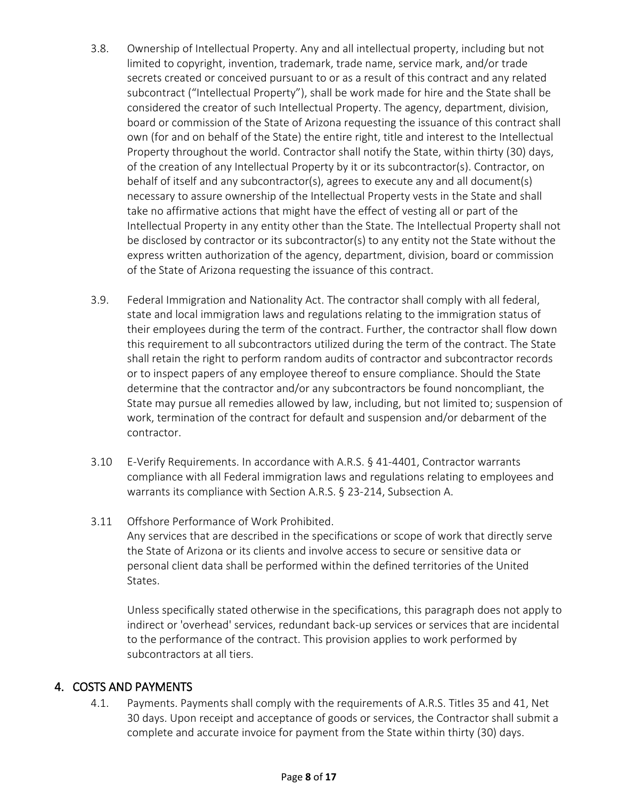- 3.8. Ownership of Intellectual Property. Any and all intellectual property, including but not limited to copyright, invention, trademark, trade name, service mark, and/or trade secrets created or conceived pursuant to or as a result of this contract and any related subcontract ("Intellectual Property"), shall be work made for hire and the State shall be considered the creator of such Intellectual Property. The agency, department, division, board or commission of the State of Arizona requesting the issuance of this contract shall own (for and on behalf of the State) the entire right, title and interest to the Intellectual Property throughout the world. Contractor shall notify the State, within thirty (30) days, of the creation of any Intellectual Property by it or its subcontractor(s). Contractor, on behalf of itself and any subcontractor(s), agrees to execute any and all document(s) necessary to assure ownership of the Intellectual Property vests in the State and shall take no affirmative actions that might have the effect of vesting all or part of the Intellectual Property in any entity other than the State. The Intellectual Property shall not be disclosed by contractor or its subcontractor(s) to any entity not the State without the express written authorization of the agency, department, division, board or commission of the State of Arizona requesting the issuance of this contract.
- 3.9. Federal Immigration and Nationality Act. The contractor shall comply with all federal, state and local immigration laws and regulations relating to the immigration status of their employees during the term of the contract. Further, the contractor shall flow down this requirement to all subcontractors utilized during the term of the contract. The State shall retain the right to perform random audits of contractor and subcontractor records or to inspect papers of any employee thereof to ensure compliance. Should the State determine that the contractor and/or any subcontractors be found noncompliant, the State may pursue all remedies allowed by law, including, but not limited to; suspension of work, termination of the contract for default and suspension and/or debarment of the contractor.
- 3.10 E-Verify Requirements. In accordance with A.R.S. § 41-4401, Contractor warrants compliance with all Federal immigration laws and regulations relating to employees and warrants its compliance with Section A.R.S. § 23-214, Subsection A.
- 3.11 Offshore Performance of Work Prohibited. Any services that are described in the specifications or scope of work that directly serve

the State of Arizona or its clients and involve access to secure or sensitive data or personal client data shall be performed within the defined territories of the United States.

Unless specifically stated otherwise in the specifications, this paragraph does not apply to indirect or 'overhead' services, redundant back-up services or services that are incidental to the performance of the contract. This provision applies to work performed by subcontractors at all tiers.

#### 4. COSTS AND PAYMENTS

4.1. Payments. Payments shall comply with the requirements of A.R.S. Titles 35 and 41, Net 30 days. Upon receipt and acceptance of goods or services, the Contractor shall submit a complete and accurate invoice for payment from the State within thirty (30) days.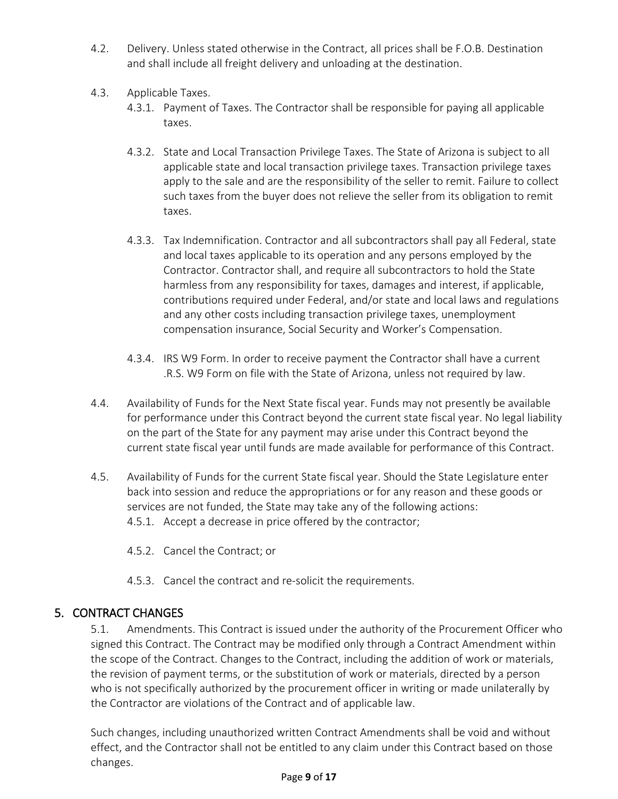- 4.2. Delivery. Unless stated otherwise in the Contract, all prices shall be F.O.B. Destination and shall include all freight delivery and unloading at the destination.
- 4.3. Applicable Taxes.
	- 4.3.1. Payment of Taxes. The Contractor shall be responsible for paying all applicable taxes.
	- 4.3.2. State and Local Transaction Privilege Taxes. The State of Arizona is subject to all applicable state and local transaction privilege taxes. Transaction privilege taxes apply to the sale and are the responsibility of the seller to remit. Failure to collect such taxes from the buyer does not relieve the seller from its obligation to remit taxes.
	- 4.3.3. Tax Indemnification. Contractor and all subcontractors shall pay all Federal, state and local taxes applicable to its operation and any persons employed by the Contractor. Contractor shall, and require all subcontractors to hold the State harmless from any responsibility for taxes, damages and interest, if applicable, contributions required under Federal, and/or state and local laws and regulations and any other costs including transaction privilege taxes, unemployment compensation insurance, Social Security and Worker's Compensation.
	- 4.3.4. IRS W9 Form. In order to receive payment the Contractor shall have a current .R.S. W9 Form on file with the State of Arizona, unless not required by law.
- 4.4. Availability of Funds for the Next State fiscal year. Funds may not presently be available for performance under this Contract beyond the current state fiscal year. No legal liability on the part of the State for any payment may arise under this Contract beyond the current state fiscal year until funds are made available for performance of this Contract.
- 4.5. Availability of Funds for the current State fiscal year. Should the State Legislature enter back into session and reduce the appropriations or for any reason and these goods or services are not funded, the State may take any of the following actions: 4.5.1. Accept a decrease in price offered by the contractor;
	- 4.5.2. Cancel the Contract; or
	- 4.5.3. Cancel the contract and re-solicit the requirements.

#### 5. CONTRACT CHANGES

5.1. Amendments. This Contract is issued under the authority of the Procurement Officer who signed this Contract. The Contract may be modified only through a Contract Amendment within the scope of the Contract. Changes to the Contract, including the addition of work or materials, the revision of payment terms, or the substitution of work or materials, directed by a person who is not specifically authorized by the procurement officer in writing or made unilaterally by the Contractor are violations of the Contract and of applicable law.

Such changes, including unauthorized written Contract Amendments shall be void and without effect, and the Contractor shall not be entitled to any claim under this Contract based on those changes.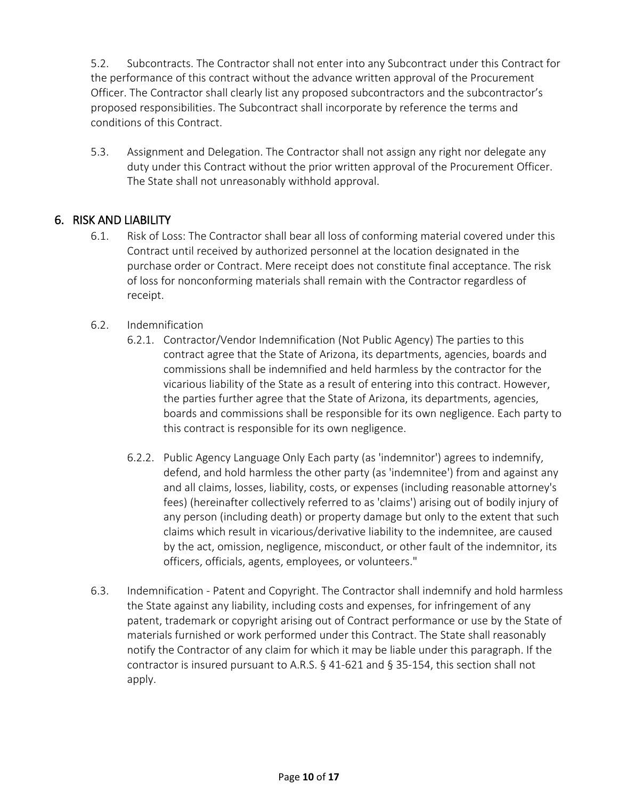5.2. Subcontracts. The Contractor shall not enter into any Subcontract under this Contract for the performance of this contract without the advance written approval of the Procurement Officer. The Contractor shall clearly list any proposed subcontractors and the subcontractor's proposed responsibilities. The Subcontract shall incorporate by reference the terms and conditions of this Contract.

5.3. Assignment and Delegation. The Contractor shall not assign any right nor delegate any duty under this Contract without the prior written approval of the Procurement Officer. The State shall not unreasonably withhold approval.

#### 6. RISK AND LIABILITY

- 6.1. Risk of Loss: The Contractor shall bear all loss of conforming material covered under this Contract until received by authorized personnel at the location designated in the purchase order or Contract. Mere receipt does not constitute final acceptance. The risk of loss for nonconforming materials shall remain with the Contractor regardless of receipt.
- 6.2. Indemnification
	- 6.2.1. Contractor/Vendor Indemnification (Not Public Agency) The parties to this contract agree that the State of Arizona, its departments, agencies, boards and commissions shall be indemnified and held harmless by the contractor for the vicarious liability of the State as a result of entering into this contract. However, the parties further agree that the State of Arizona, its departments, agencies, boards and commissions shall be responsible for its own negligence. Each party to this contract is responsible for its own negligence.
	- 6.2.2. Public Agency Language Only Each party (as 'indemnitor') agrees to indemnify, defend, and hold harmless the other party (as 'indemnitee') from and against any and all claims, losses, liability, costs, or expenses (including reasonable attorney's fees) (hereinafter collectively referred to as 'claims') arising out of bodily injury of any person (including death) or property damage but only to the extent that such claims which result in vicarious/derivative liability to the indemnitee, are caused by the act, omission, negligence, misconduct, or other fault of the indemnitor, its officers, officials, agents, employees, or volunteers."
- 6.3. Indemnification Patent and Copyright. The Contractor shall indemnify and hold harmless the State against any liability, including costs and expenses, for infringement of any patent, trademark or copyright arising out of Contract performance or use by the State of materials furnished or work performed under this Contract. The State shall reasonably notify the Contractor of any claim for which it may be liable under this paragraph. If the contractor is insured pursuant to A.R.S. § 41-621 and § 35-154, this section shall not apply.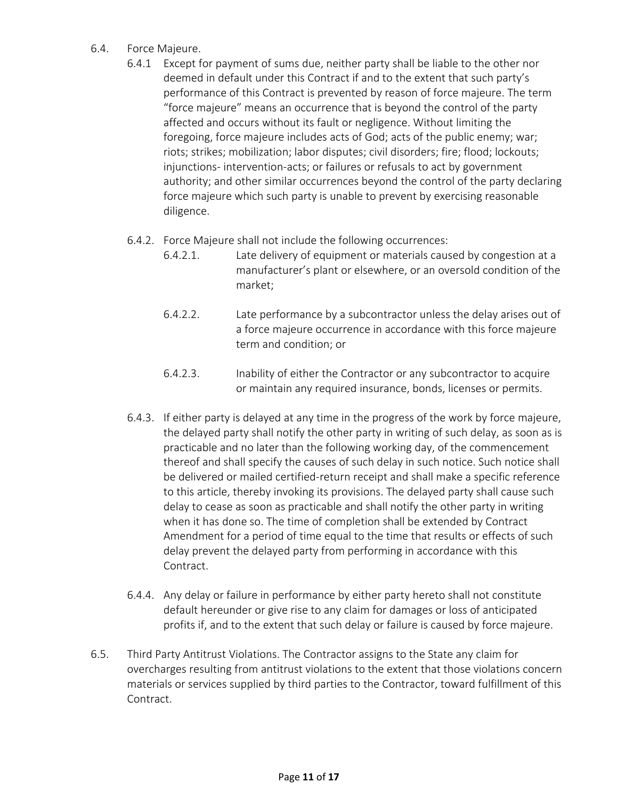- 6.4. Force Majeure.
	- 6.4.1 Except for payment of sums due, neither party shall be liable to the other nor deemed in default under this Contract if and to the extent that such party's performance of this Contract is prevented by reason of force majeure. The term "force majeure" means an occurrence that is beyond the control of the party affected and occurs without its fault or negligence. Without limiting the foregoing, force majeure includes acts of God; acts of the public enemy; war; riots; strikes; mobilization; labor disputes; civil disorders; fire; flood; lockouts; injunctions- intervention-acts; or failures or refusals to act by government authority; and other similar occurrences beyond the control of the party declaring force majeure which such party is unable to prevent by exercising reasonable diligence.
	- 6.4.2. Force Majeure shall not include the following occurrences:
		- 6.4.2.1. Late delivery of equipment or materials caused by congestion at a manufacturer's plant or elsewhere, or an oversold condition of the market;
		- 6.4.2.2. Late performance by a subcontractor unless the delay arises out of a force majeure occurrence in accordance with this force majeure term and condition; or
		- 6.4.2.3. Inability of either the Contractor or any subcontractor to acquire or maintain any required insurance, bonds, licenses or permits.
	- 6.4.3. If either party is delayed at any time in the progress of the work by force majeure, the delayed party shall notify the other party in writing of such delay, as soon as is practicable and no later than the following working day, of the commencement thereof and shall specify the causes of such delay in such notice. Such notice shall be delivered or mailed certified-return receipt and shall make a specific reference to this article, thereby invoking its provisions. The delayed party shall cause such delay to cease as soon as practicable and shall notify the other party in writing when it has done so. The time of completion shall be extended by Contract Amendment for a period of time equal to the time that results or effects of such delay prevent the delayed party from performing in accordance with this Contract.
	- 6.4.4. Any delay or failure in performance by either party hereto shall not constitute default hereunder or give rise to any claim for damages or loss of anticipated profits if, and to the extent that such delay or failure is caused by force majeure.
- 6.5. Third Party Antitrust Violations. The Contractor assigns to the State any claim for overcharges resulting from antitrust violations to the extent that those violations concern materials or services supplied by third parties to the Contractor, toward fulfillment of this Contract.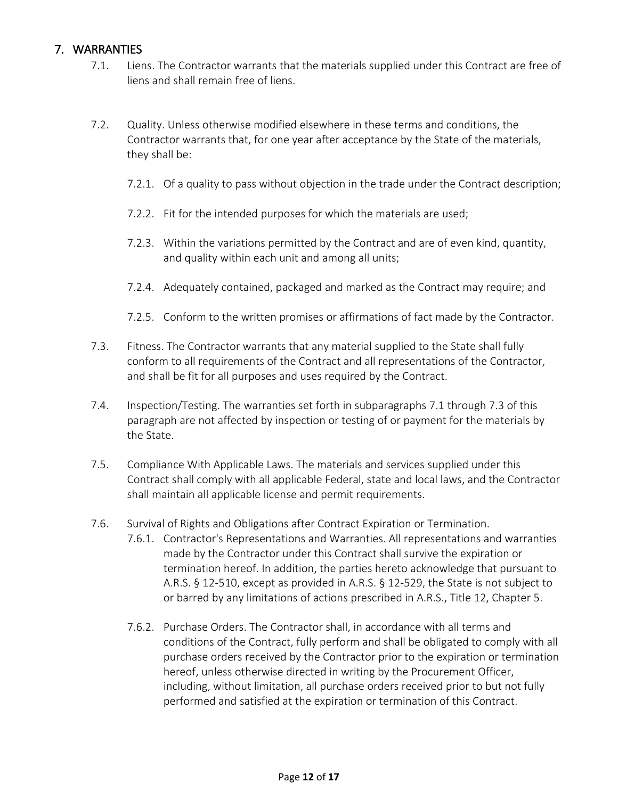#### 7. WARRANTIES

- 7.1. Liens. The Contractor warrants that the materials supplied under this Contract are free of liens and shall remain free of liens.
- 7.2. Quality. Unless otherwise modified elsewhere in these terms and conditions, the Contractor warrants that, for one year after acceptance by the State of the materials, they shall be:
	- 7.2.1. Of a quality to pass without objection in the trade under the Contract description;
	- 7.2.2. Fit for the intended purposes for which the materials are used;
	- 7.2.3. Within the variations permitted by the Contract and are of even kind, quantity, and quality within each unit and among all units;
	- 7.2.4. Adequately contained, packaged and marked as the Contract may require; and
	- 7.2.5. Conform to the written promises or affirmations of fact made by the Contractor.
- 7.3. Fitness. The Contractor warrants that any material supplied to the State shall fully conform to all requirements of the Contract and all representations of the Contractor, and shall be fit for all purposes and uses required by the Contract.
- 7.4. Inspection/Testing. The warranties set forth in subparagraphs 7.1 through 7.3 of this paragraph are not affected by inspection or testing of or payment for the materials by the State.
- 7.5. Compliance With Applicable Laws. The materials and services supplied under this Contract shall comply with all applicable Federal, state and local laws, and the Contractor shall maintain all applicable license and permit requirements.
- 7.6. Survival of Rights and Obligations after Contract Expiration or Termination.
	- 7.6.1. Contractor's Representations and Warranties. All representations and warranties made by the Contractor under this Contract shall survive the expiration or termination hereof. In addition, the parties hereto acknowledge that pursuant to A.R.S. § 12-510, except as provided in A.R.S. § 12-529, the State is not subject to or barred by any limitations of actions prescribed in A.R.S., Title 12, Chapter 5.
	- 7.6.2. Purchase Orders. The Contractor shall, in accordance with all terms and conditions of the Contract, fully perform and shall be obligated to comply with all purchase orders received by the Contractor prior to the expiration or termination hereof, unless otherwise directed in writing by the Procurement Officer, including, without limitation, all purchase orders received prior to but not fully performed and satisfied at the expiration or termination of this Contract.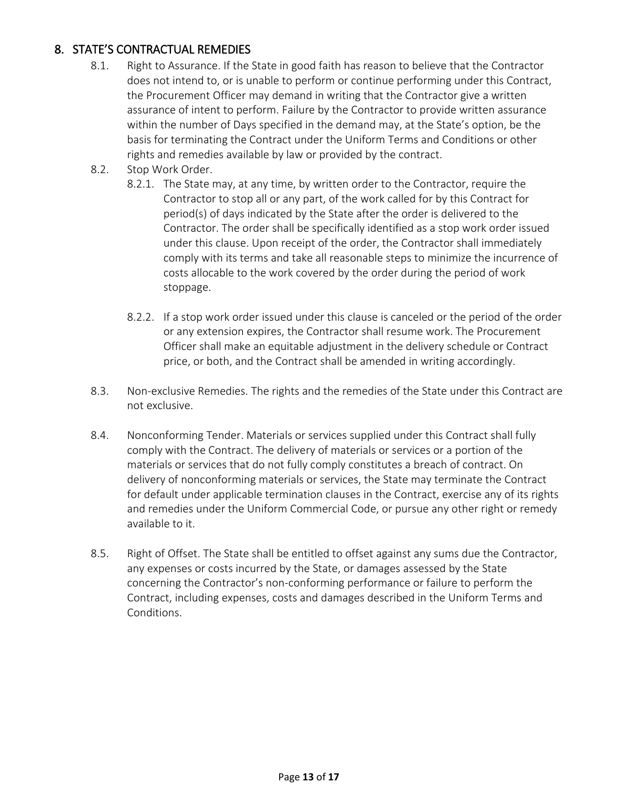#### 8. STATE'S CONTRACTUAL REMEDIES

- 8.1. Right to Assurance. If the State in good faith has reason to believe that the Contractor does not intend to, or is unable to perform or continue performing under this Contract, the Procurement Officer may demand in writing that the Contractor give a written assurance of intent to perform. Failure by the Contractor to provide written assurance within the number of Days specified in the demand may, at the State's option, be the basis for terminating the Contract under the Uniform Terms and Conditions or other rights and remedies available by law or provided by the contract.
- 8.2. Stop Work Order.
	- 8.2.1. The State may, at any time, by written order to the Contractor, require the Contractor to stop all or any part, of the work called for by this Contract for period(s) of days indicated by the State after the order is delivered to the Contractor. The order shall be specifically identified as a stop work order issued under this clause. Upon receipt of the order, the Contractor shall immediately comply with its terms and take all reasonable steps to minimize the incurrence of costs allocable to the work covered by the order during the period of work stoppage.
	- 8.2.2. If a stop work order issued under this clause is canceled or the period of the order or any extension expires, the Contractor shall resume work. The Procurement Officer shall make an equitable adjustment in the delivery schedule or Contract price, or both, and the Contract shall be amended in writing accordingly.
- 8.3. Non-exclusive Remedies. The rights and the remedies of the State under this Contract are not exclusive.
- 8.4. Nonconforming Tender. Materials or services supplied under this Contract shall fully comply with the Contract. The delivery of materials or services or a portion of the materials or services that do not fully comply constitutes a breach of contract. On delivery of nonconforming materials or services, the State may terminate the Contract for default under applicable termination clauses in the Contract, exercise any of its rights and remedies under the Uniform Commercial Code, or pursue any other right or remedy available to it.
- 8.5. Right of Offset. The State shall be entitled to offset against any sums due the Contractor, any expenses or costs incurred by the State, or damages assessed by the State concerning the Contractor's non-conforming performance or failure to perform the Contract, including expenses, costs and damages described in the Uniform Terms and Conditions.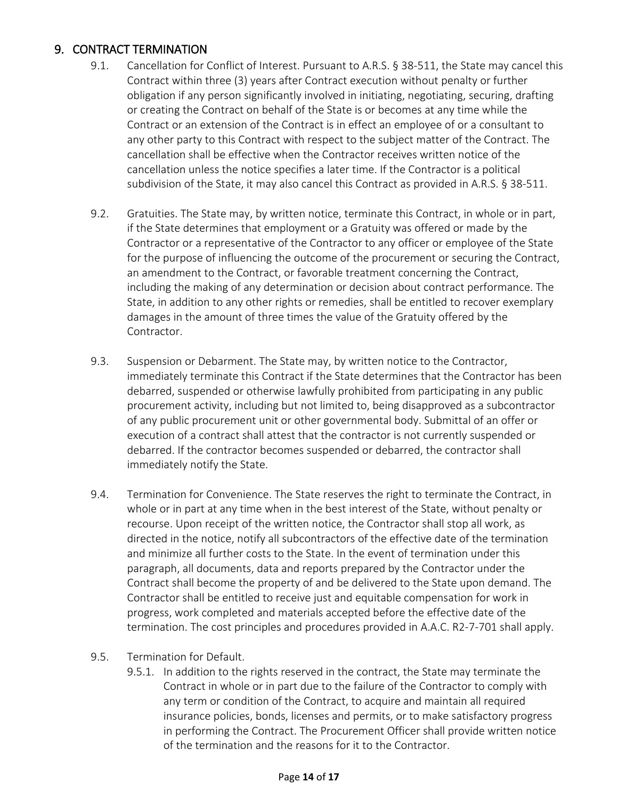#### 9. CONTRACT TERMINATION

- 9.1. Cancellation for Conflict of Interest. Pursuant to A.R.S. § 38-511, the State may cancel this Contract within three (3) years after Contract execution without penalty or further obligation if any person significantly involved in initiating, negotiating, securing, drafting or creating the Contract on behalf of the State is or becomes at any time while the Contract or an extension of the Contract is in effect an employee of or a consultant to any other party to this Contract with respect to the subject matter of the Contract. The cancellation shall be effective when the Contractor receives written notice of the cancellation unless the notice specifies a later time. If the Contractor is a political subdivision of the State, it may also cancel this Contract as provided in A.R.S. § 38-511.
- 9.2. Gratuities. The State may, by written notice, terminate this Contract, in whole or in part, if the State determines that employment or a Gratuity was offered or made by the Contractor or a representative of the Contractor to any officer or employee of the State for the purpose of influencing the outcome of the procurement or securing the Contract, an amendment to the Contract, or favorable treatment concerning the Contract, including the making of any determination or decision about contract performance. The State, in addition to any other rights or remedies, shall be entitled to recover exemplary damages in the amount of three times the value of the Gratuity offered by the Contractor.
- 9.3. Suspension or Debarment. The State may, by written notice to the Contractor, immediately terminate this Contract if the State determines that the Contractor has been debarred, suspended or otherwise lawfully prohibited from participating in any public procurement activity, including but not limited to, being disapproved as a subcontractor of any public procurement unit or other governmental body. Submittal of an offer or execution of a contract shall attest that the contractor is not currently suspended or debarred. If the contractor becomes suspended or debarred, the contractor shall immediately notify the State.
- 9.4. Termination for Convenience. The State reserves the right to terminate the Contract, in whole or in part at any time when in the best interest of the State, without penalty or recourse. Upon receipt of the written notice, the Contractor shall stop all work, as directed in the notice, notify all subcontractors of the effective date of the termination and minimize all further costs to the State. In the event of termination under this paragraph, all documents, data and reports prepared by the Contractor under the Contract shall become the property of and be delivered to the State upon demand. The Contractor shall be entitled to receive just and equitable compensation for work in progress, work completed and materials accepted before the effective date of the termination. The cost principles and procedures provided in A.A.C. R2-7-701 shall apply.
- 9.5. Termination for Default.
	- 9.5.1. In addition to the rights reserved in the contract, the State may terminate the Contract in whole or in part due to the failure of the Contractor to comply with any term or condition of the Contract, to acquire and maintain all required insurance policies, bonds, licenses and permits, or to make satisfactory progress in performing the Contract. The Procurement Officer shall provide written notice of the termination and the reasons for it to the Contractor.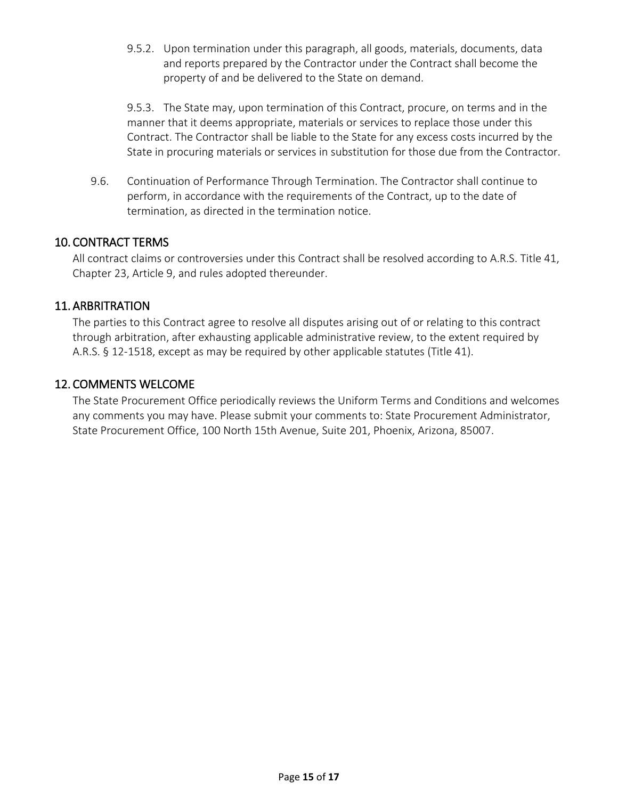9.5.2. Upon termination under this paragraph, all goods, materials, documents, data and reports prepared by the Contractor under the Contract shall become the property of and be delivered to the State on demand.

9.5.3. The State may, upon termination of this Contract, procure, on terms and in the manner that it deems appropriate, materials or services to replace those under this Contract. The Contractor shall be liable to the State for any excess costs incurred by the State in procuring materials or services in substitution for those due from the Contractor.

9.6. Continuation of Performance Through Termination. The Contractor shall continue to perform, in accordance with the requirements of the Contract, up to the date of termination, as directed in the termination notice.

#### 10. CONTRACT TERMS

All contract claims or controversies under this Contract shall be resolved according to A.R.S. Title 41, Chapter 23, Article 9, and rules adopted thereunder.

#### 11. ARBRITRATION

The parties to this Contract agree to resolve all disputes arising out of or relating to this contract through arbitration, after exhausting applicable administrative review, to the extent required by A.R.S. § 12-1518, except as may be required by other applicable statutes (Title 41).

#### 12. COMMENTS WELCOME

The State Procurement Office periodically reviews the Uniform Terms and Conditions and welcomes any comments you may have. Please submit your comments to: State Procurement Administrator, State Procurement Office, 100 North 15th Avenue, Suite 201, Phoenix, Arizona, 85007.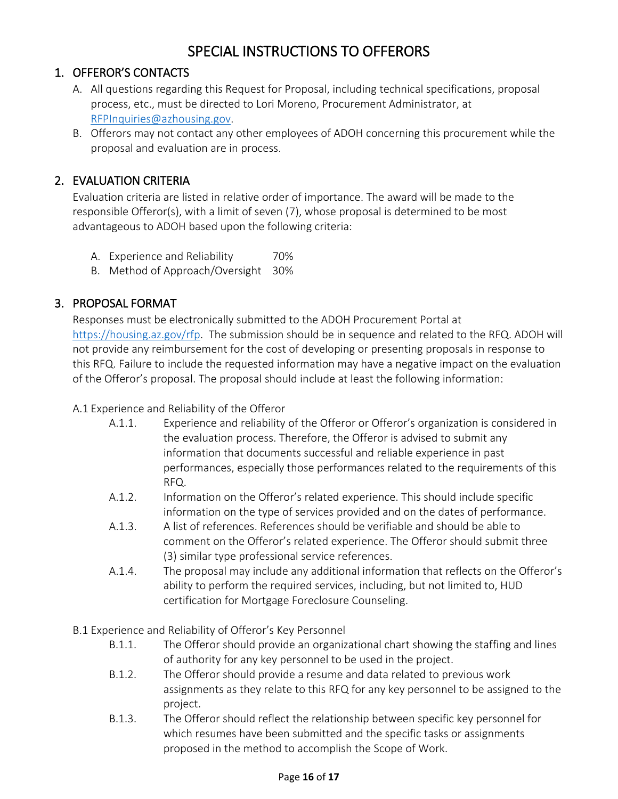# SPECIAL INSTRUCTIONS TO OFFERORS

### 1. OFFEROR'S CONTACTS

- A. All questions regarding this Request for Proposal, including technical specifications, proposal process, etc., must be directed to Lori Moreno, Procurement Administrator, at RFPInquiries@azhousing.gov.
- B. Offerors may not contact any other employees of ADOH concerning this procurement while the proposal and evaluation are in process.

### 2. EVALUATION CRITERIA

Evaluation criteria are listed in relative order of importance. The award will be made to the responsible Offeror(s), with a limit of seven (7), whose proposal is determined to be most advantageous to ADOH based upon the following criteria:

- A. Experience and Reliability 70%
- B. Method of Approach/Oversight 30%

#### 3. PROPOSAL FORMAT

Responses must be electronically submitted to the ADOH Procurement Portal at https://housing.az.gov/rfp. The submission should be in sequence and related to the RFQ. ADOH will not provide any reimbursement for the cost of developing or presenting proposals in response to this RFQ. Failure to include the requested information may have a negative impact on the evaluation of the Offeror's proposal. The proposal should include at least the following information:

#### A.1 Experience and Reliability of the Offeror

- A.1.1. Experience and reliability of the Offeror or Offeror's organization is considered in the evaluation process. Therefore, the Offeror is advised to submit any information that documents successful and reliable experience in past performances, especially those performances related to the requirements of this RFQ.
- A.1.2. Information on the Offeror's related experience. This should include specific information on the type of services provided and on the dates of performance.
- A.1.3. A list of references. References should be verifiable and should be able to comment on the Offeror's related experience. The Offeror should submit three (3) similar type professional service references.
- A.1.4. The proposal may include any additional information that reflects on the Offeror's ability to perform the required services, including, but not limited to, HUD certification for Mortgage Foreclosure Counseling.
- B.1 Experience and Reliability of Offeror's Key Personnel
	- B.1.1. The Offeror should provide an organizational chart showing the staffing and lines of authority for any key personnel to be used in the project.
	- B.1.2. The Offeror should provide a resume and data related to previous work assignments as they relate to this RFQ for any key personnel to be assigned to the project.
	- B.1.3. The Offeror should reflect the relationship between specific key personnel for which resumes have been submitted and the specific tasks or assignments proposed in the method to accomplish the Scope of Work.